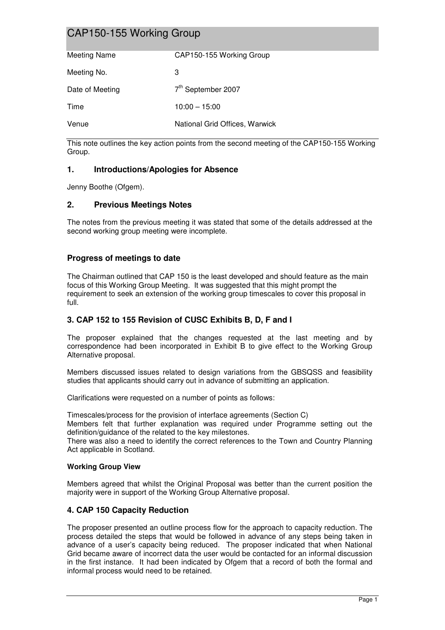# CAP150-155 Working Group

| <b>Meeting Name</b> | CAP150-155 Working Group       |
|---------------------|--------------------------------|
|                     |                                |
| Meeting No.         | 3                              |
|                     |                                |
| Date of Meeting     |                                |
|                     |                                |
| Time                | $10:00 - 15:00$                |
|                     |                                |
| Venue               | National Grid Offices, Warwick |
|                     | 7 <sup>th</sup> September 2007 |

This note outlines the key action points from the second meeting of the CAP150-155 Working Group.

# **1. Introductions/Apologies for Absence**

Jenny Boothe (Ofgem).

### **2. Previous Meetings Notes**

The notes from the previous meeting it was stated that some of the details addressed at the second working group meeting were incomplete.

### **Progress of meetings to date**

The Chairman outlined that CAP 150 is the least developed and should feature as the main focus of this Working Group Meeting. It was suggested that this might prompt the requirement to seek an extension of the working group timescales to cover this proposal in full.

# **3. CAP 152 to 155 Revision of CUSC Exhibits B, D, F and I**

The proposer explained that the changes requested at the last meeting and by correspondence had been incorporated in Exhibit B to give effect to the Working Group Alternative proposal.

Members discussed issues related to design variations from the GBSQSS and feasibility studies that applicants should carry out in advance of submitting an application.

Clarifications were requested on a number of points as follows:

Timescales/process for the provision of interface agreements (Section C) Members felt that further explanation was required under Programme setting out the

definition/guidance of the related to the key milestones. There was also a need to identify the correct references to the Town and Country Planning Act applicable in Scotland.

#### **Working Group View**

Members agreed that whilst the Original Proposal was better than the current position the majority were in support of the Working Group Alternative proposal.

# **4. CAP 150 Capacity Reduction**

The proposer presented an outline process flow for the approach to capacity reduction. The process detailed the steps that would be followed in advance of any steps being taken in advance of a user's capacity being reduced. The proposer indicated that when National Grid became aware of incorrect data the user would be contacted for an informal discussion in the first instance. It had been indicated by Ofgem that a record of both the formal and informal process would need to be retained.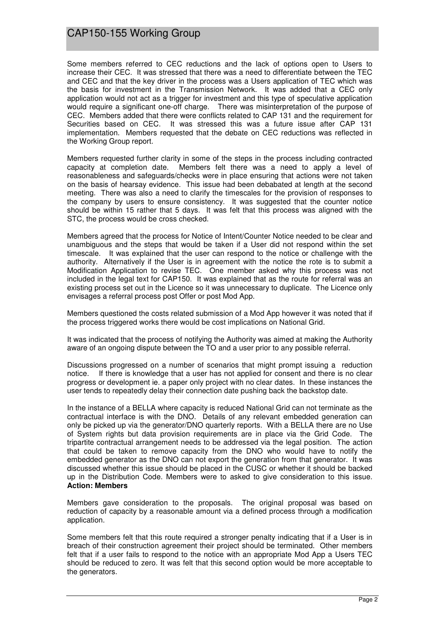# CAP150-155 Working Group

Some members referred to CEC reductions and the lack of options open to Users to increase their CEC. It was stressed that there was a need to differentiate between the TEC and CEC and that the key driver in the process was a Users application of TEC which was the basis for investment in the Transmission Network. It was added that a CEC only application would not act as a trigger for investment and this type of speculative application would require a significant one-off charge. There was misinterpretation of the purpose of CEC. Members added that there were conflicts related to CAP 131 and the requirement for Securities based on CEC. It was stressed this was a future issue after CAP 131 implementation. Members requested that the debate on CEC reductions was reflected in the Working Group report.

Members requested further clarity in some of the steps in the process including contracted capacity at completion date. Members felt there was a need to apply a level of reasonableness and safeguards/checks were in place ensuring that actions were not taken on the basis of hearsay evidence. This issue had been debabated at length at the second meeting. There was also a need to clarify the timescales for the provision of responses to the company by users to ensure consistency. It was suggested that the counter notice should be within 15 rather that 5 days. It was felt that this process was aligned with the STC, the process would be cross checked.

Members agreed that the process for Notice of Intent/Counter Notice needed to be clear and unambiguous and the steps that would be taken if a User did not respond within the set timescale. It was explained that the user can respond to the notice or challenge with the authority. Alternatively if the User is in agreement with the notice the rote is to submit a Modification Application to revise TEC. One member asked why this process was not included in the legal text for CAP150. It was explained that as the route for referral was an existing process set out in the Licence so it was unnecessary to duplicate. The Licence only envisages a referral process post Offer or post Mod App.

Members questioned the costs related submission of a Mod App however it was noted that if the process triggered works there would be cost implications on National Grid.

It was indicated that the process of notifying the Authority was aimed at making the Authority aware of an ongoing dispute between the TO and a user prior to any possible referral.

Discussions progressed on a number of scenarios that might prompt issuing a reduction notice. If there is knowledge that a user has not applied for consent and there is no clear progress or development ie. a paper only project with no clear dates. In these instances the user tends to repeatedly delay their connection date pushing back the backstop date.

In the instance of a BELLA where capacity is reduced National Grid can not terminate as the contractual interface is with the DNO. Details of any relevant embedded generation can only be picked up via the generator/DNO quarterly reports. With a BELLA there are no Use of System rights but data provision requirements are in place via the Grid Code. The tripartite contractual arrangement needs to be addressed via the legal position. The action that could be taken to remove capacity from the DNO who would have to notify the embedded generator as the DNO can not export the generation from that generator. It was discussed whether this issue should be placed in the CUSC or whether it should be backed up in the Distribution Code. Members were to asked to give consideration to this issue. **Action: Members**

Members gave consideration to the proposals. The original proposal was based on reduction of capacity by a reasonable amount via a defined process through a modification application.

Some members felt that this route required a stronger penalty indicating that if a User is in breach of their construction agreement their project should be terminated. Other members felt that if a user fails to respond to the notice with an appropriate Mod App a Users TEC should be reduced to zero. It was felt that this second option would be more acceptable to the generators.